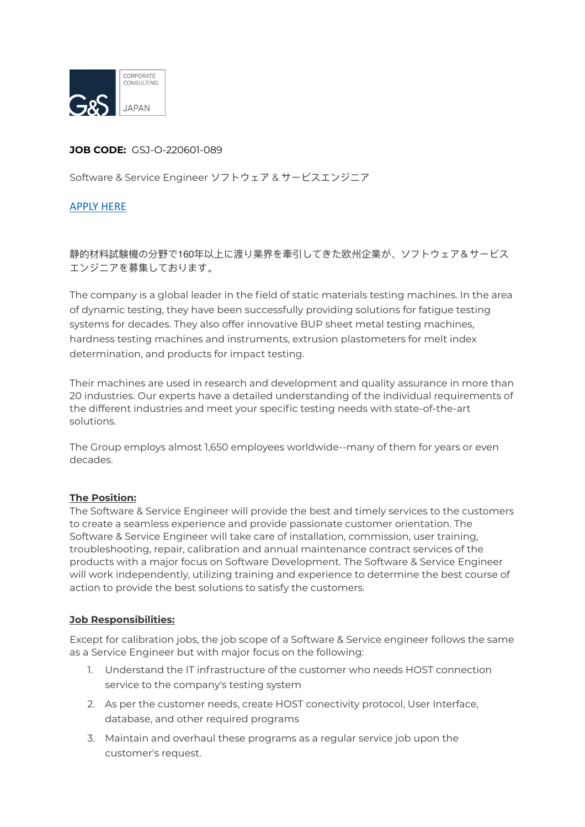

## **JOB CODE:** GSJ-O-220601-089

Software & Service Engineer ソフトウェア & サービスエンジニア

## [APPLY HERE](https://gs-asia.com/applyjp/)

静的材料試験機の分野で160年以上に渡り業界を牽引してきた欧州企業が、ソフトウェア&サービス エンジニアを募集しております。

The company is a global leader in the field of static materials testing machines. In the area of dynamic testing, they have been successfully providing solutions for fatigue testing systems for decades. They also offer innovative BUP sheet metal testing machines, hardness testing machines and instruments, extrusion plastometers for melt index determination, and products for impact testing.

Their machines are used in research and development and quality assurance in more than 20 industries. Our experts have a detailed understanding of the individual requirements of the different industries and meet your specific testing needs with state-of-the-art solutions.

The Group employs almost 1,650 employees worldwide--many of them for years or even decades.

#### **The Position:**

The Software & Service Engineer will provide the best and timely services to the customers to create a seamless experience and provide passionate customer orientation. The Software & Service Engineer will take care of installation, commission, user training, troubleshooting, repair, calibration and annual maintenance contract services of the products with a major focus on Software Development. The Software & Service Engineer will work independently, utilizing training and experience to determine the best course of action to provide the best solutions to satisfy the customers.

#### **Job Responsibilities:**

Except for calibration jobs, the job scope of a Software & Service engineer follows the same as a Service Engineer but with major focus on the following:

- 1. Understand the IT infrastructure of the customer who needs HOST connection service to the company's testing system
- 2. As per the customer needs, create HOST conectivity protocol, User Interface, database, and other required programs
- 3. Maintain and overhaul these programs as a regular service job upon the customer's request.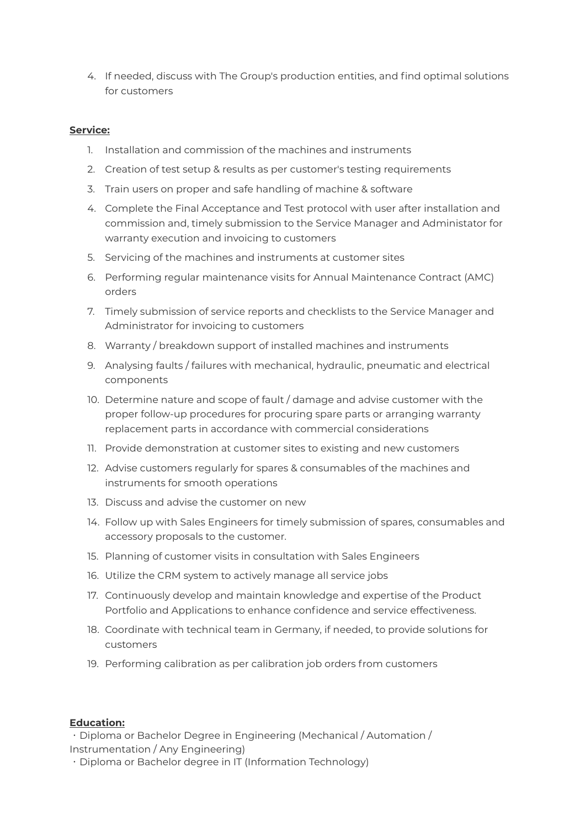4. If needed, discuss with The Group's production entities, and find optimal solutions for customers

# **Service:**

- 1. Installation and commission of the machines and instruments
- 2. Creation of test setup & results as per customer's testing requirements
- 3. Train users on proper and safe handling of machine & software
- 4. Complete the Final Acceptance and Test protocol with user after installation and commission and, timely submission to the Service Manager and Administator for warranty execution and invoicing to customers
- 5. Servicing of the machines and instruments at customer sites
- 6. Performing regular maintenance visits for Annual Maintenance Contract (AMC) orders
- 7. Timely submission of service reports and checklists to the Service Manager and Administrator for invoicing to customers
- 8. Warranty / breakdown support of installed machines and instruments
- 9. Analysing faults / failures with mechanical, hydraulic, pneumatic and electrical components
- 10. Determine nature and scope of fault / damage and advise customer with the proper follow-up procedures for procuring spare parts or arranging warranty replacement parts in accordance with commercial considerations
- 11. Provide demonstration at customer sites to existing and new customers
- 12. Advise customers regularly for spares & consumables of the machines and instruments for smooth operations
- 13. Discuss and advise the customer on new
- 14. Follow up with Sales Engineers for timely submission of spares, consumables and accessory proposals to the customer.
- 15. Planning of customer visits in consultation with Sales Engineers
- 16. Utilize the CRM system to actively manage all service jobs
- 17. Continuously develop and maintain knowledge and expertise of the Product Portfolio and Applications to enhance confidence and service effectiveness.
- 18. Coordinate with technical team in Germany, if needed, to provide solutions for customers
- 19. Performing calibration as per calibration job orders from customers

#### **Education:**

・Diploma or Bachelor Degree in Engineering (Mechanical / Automation / Instrumentation / Any Engineering)

・Diploma or Bachelor degree in IT (Information Technology)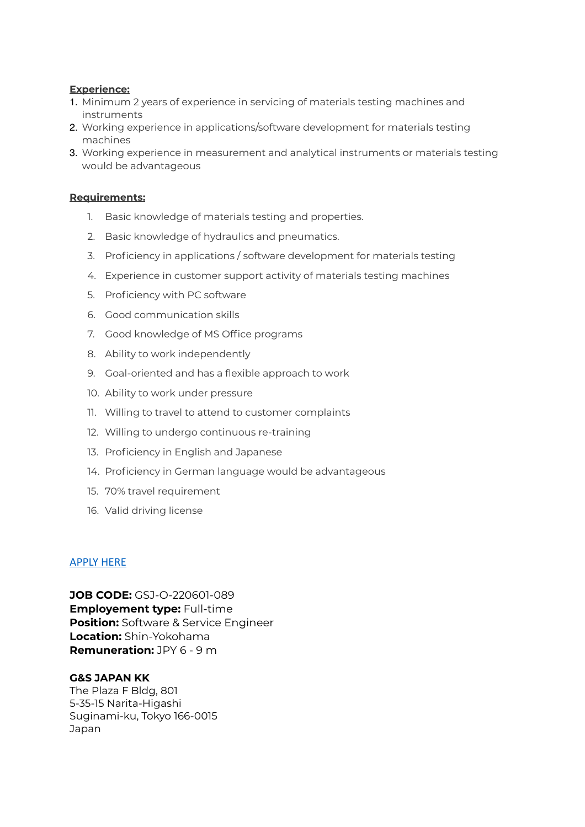## **Experience:**

- 1. Minimum 2 years of experience in servicing of materials testing machines and instruments
- 2. Working experience in applications/software development for materials testing machines
- 3. Working experience in measurement and analytical instruments or materials testing would be advantageous

## **Requirements:**

- 1. Basic knowledge of materials testing and properties.
- 2. Basic knowledge of hydraulics and pneumatics.
- 3. Proficiency in applications / software development for materials testing
- 4. Experience in customer support activity of materials testing machines
- 5. Proficiency with PC software
- 6. Good communication skills
- 7. Good knowledge of MS Office programs
- 8. Ability to work independently
- 9. Goal-oriented and has a flexible approach to work
- 10. Ability to work under pressure
- 11. Willing to travel to attend to customer complaints
- 12. Willing to undergo continuous re-training
- 13. Proficiency in English and Japanese
- 14. Proficiency in German language would be advantageous
- 15. 70% travel requirement
- 16. Valid driving license

#### [APPLY HERE](https://gs-asia.com/applyjp/)

**JOB CODE:** GSJ-O-220601-089 **Employement type:** Full-time **Position:** Software & Service Engineer **Location:** Shin-Yokohama **Remuneration:** JPY 6 - 9 m

#### **G&S JAPAN KK**

The Plaza F Bldg, 801 5-35-15 Narita-Higashi Suginami-ku, Tokyo 166-0015 Japan